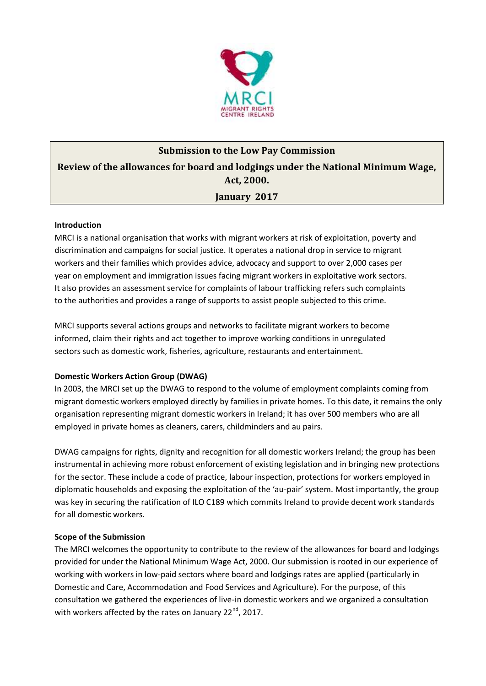

# **Submission to the Low Pay Commission Review of the allowances for board and lodgings under the National Minimum Wage, Act, 2000. January 2017**

## **Introduction**

MRCI is a national organisation that works with migrant workers at risk of exploitation, poverty and discrimination and campaigns for social justice. It operates a national drop in service to migrant workers and their families which provides advice, advocacy and support to over 2,000 cases per year on employment and immigration issues facing migrant workers in exploitative work sectors. It also provides an assessment service for complaints of labour trafficking refers such complaints to the authorities and provides a range of supports to assist people subjected to this crime.

MRCI supports several actions groups and networks to facilitate migrant workers to become informed, claim their rights and act together to improve working conditions in unregulated sectors such as domestic work, fisheries, agriculture, restaurants and entertainment.

## **Domestic Workers Action Group (DWAG)**

In 2003, the MRCI set up the DWAG to respond to the volume of employment complaints coming from migrant domestic workers employed directly by families in private homes. To this date, it remains the only organisation representing migrant domestic workers in Ireland; it has over 500 members who are all employed in private homes as cleaners, carers, childminders and au pairs.

DWAG campaigns for rights, dignity and recognition for all domestic workers Ireland; the group has been instrumental in achieving more robust enforcement of existing legislation and in bringing new protections for the sector. These include a code of practice, labour inspection, protections for workers employed in diplomatic households and exposing the exploitation of the 'au-pair' system. Most importantly, the group was key in securing the ratification of ILO C189 which commits Ireland to provide decent work standards for all domestic workers.

## **Scope of the Submission**

The MRCI welcomes the opportunity to contribute to the review of the allowances for board and lodgings provided for under the National Minimum Wage Act, 2000. Our submission is rooted in our experience of working with workers in low-paid sectors where board and lodgings rates are applied (particularly in Domestic and Care, Accommodation and Food Services and Agriculture). For the purpose, of this consultation we gathered the experiences of live-in domestic workers and we organized a consultation with workers affected by the rates on January  $22^{nd}$ , 2017.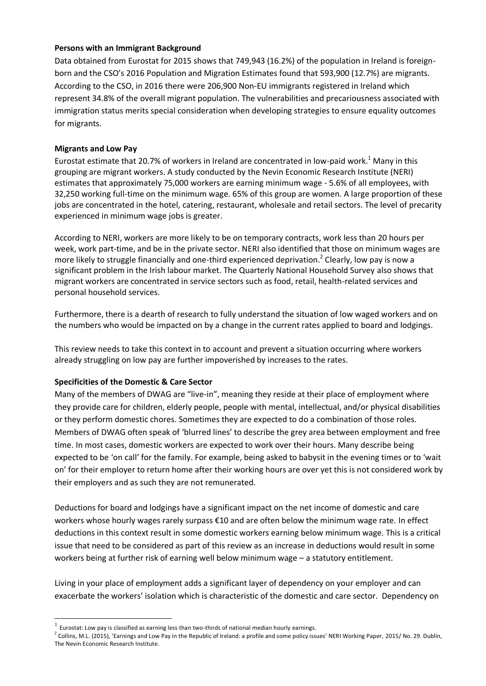#### **Persons with an Immigrant Background**

Data obtained from Eurostat for 2015 shows that 749,943 (16.2%) of the population in Ireland is foreignborn and the CSO's 2016 Population and Migration Estimates found that 593,900 (12.7%) are migrants. According to the CSO, in 2016 there were 206,900 Non-EU immigrants registered in Ireland which represent 34.8% of the overall migrant population. The vulnerabilities and precariousness associated with immigration status merits special consideration when developing strategies to ensure equality outcomes for migrants.

## **Migrants and Low Pay**

Eurostat estimate that 20.7% of workers in Ireland are concentrated in low-paid work.<sup>1</sup> Many in this grouping are migrant workers. A study conducted by the Nevin Economic Research Institute (NERI) estimates that approximately 75,000 workers are earning minimum wage - 5.6% of all employees, with 32,250 working full-time on the minimum wage. 65% of this group are women. A large proportion of these jobs are concentrated in the hotel, catering, restaurant, wholesale and retail sectors. The level of precarity experienced in minimum wage jobs is greater.

According to NERI, workers are more likely to be on temporary contracts, work less than 20 hours per week, work part-time, and be in the private sector. NERI also identified that those on minimum wages are more likely to struggle financially and one-third experienced deprivation.<sup>2</sup> Clearly, low pay is now a significant problem in the Irish labour market. The Quarterly National Household Survey also shows that migrant workers are concentrated in service sectors such as food, retail, health-related services and personal household services.

Furthermore, there is a dearth of research to fully understand the situation of low waged workers and on the numbers who would be impacted on by a change in the current rates applied to board and lodgings.

This review needs to take this context in to account and prevent a situation occurring where workers already struggling on low pay are further impoverished by increases to the rates.

## **Specificities of the Domestic & Care Sector**

l

Many of the members of DWAG are "live-in", meaning they reside at their place of employment where they provide care for children, elderly people, people with mental, intellectual, and/or physical disabilities or they perform domestic chores. Sometimes they are expected to do a combination of those roles. Members of DWAG often speak of 'blurred lines' to describe the grey area between employment and free time. In most cases, domestic workers are expected to work over their hours. Many describe being expected to be 'on call' for the family. For example, being asked to babysit in the evening times or to 'wait on' for their employer to return home after their working hours are over yet this is not considered work by their employers and as such they are not remunerated.

Deductions for board and lodgings have a significant impact on the net income of domestic and care workers whose hourly wages rarely surpass €10 and are often below the minimum wage rate. In effect deductions in this context result in some domestic workers earning below minimum wage. This is a critical issue that need to be considered as part of this review as an increase in deductions would result in some workers being at further risk of earning well below minimum wage – a statutory entitlement.

Living in your place of employment adds a significant layer of dependency on your employer and can exacerbate the workers' isolation which is characteristic of the domestic and care sector. Dependency on

 $<sup>1</sup>$  Eurostat: Low pay is classified as earning less than two-thirds of national median hourly earnings.</sup>

 $^2$  Collins, M.L. (2015), 'Earnings and Low Pay in the Republic of Ireland: a profile and some policy issues' NERI Working Paper, 2015/ No. 29. Dublin, The Nevin Economic Research Institute.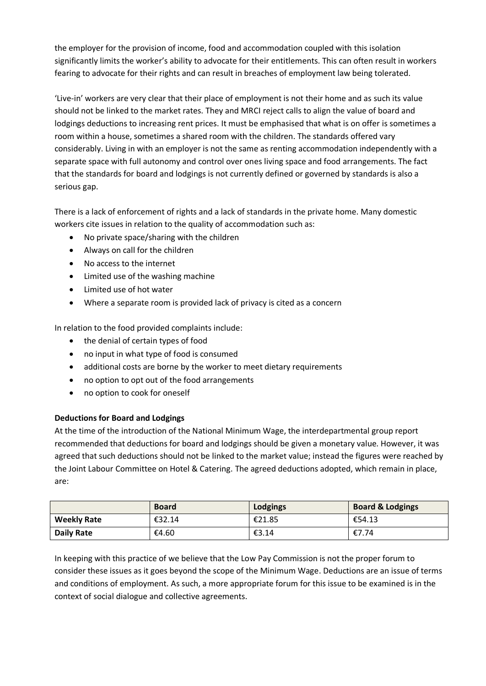the employer for the provision of income, food and accommodation coupled with this isolation significantly limits the worker's ability to advocate for their entitlements. This can often result in workers fearing to advocate for their rights and can result in breaches of employment law being tolerated.

'Live-in' workers are very clear that their place of employment is not their home and as such its value should not be linked to the market rates. They and MRCI reject calls to align the value of board and lodgings deductions to increasing rent prices. It must be emphasised that what is on offer is sometimes a room within a house, sometimes a shared room with the children. The standards offered vary considerably. Living in with an employer is not the same as renting accommodation independently with a separate space with full autonomy and control over ones living space and food arrangements. The fact that the standards for board and lodgings is not currently defined or governed by standards is also a serious gap.

There is a lack of enforcement of rights and a lack of standards in the private home. Many domestic workers cite issues in relation to the quality of accommodation such as:

- No private space/sharing with the children
- Always on call for the children
- No access to the internet
- Limited use of the washing machine
- Limited use of hot water
- Where a separate room is provided lack of privacy is cited as a concern

In relation to the food provided complaints include:

- the denial of certain types of food
- no input in what type of food is consumed
- additional costs are borne by the worker to meet dietary requirements
- no option to opt out of the food arrangements
- no option to cook for oneself

## **Deductions for Board and Lodgings**

At the time of the introduction of the National Minimum Wage, the interdepartmental group report recommended that deductions for board and lodgings should be given a monetary value. However, it was agreed that such deductions should not be linked to the market value; instead the figures were reached by the Joint Labour Committee on Hotel & Catering. The agreed deductions adopted, which remain in place, are:

|                    | <b>Board</b> | <b>Lodgings</b> | <b>Board &amp; Lodgings</b> |
|--------------------|--------------|-----------------|-----------------------------|
| <b>Weekly Rate</b> | €32.14       | €21.85          | €54.13                      |
| <b>Daily Rate</b>  | €4.60        | €3.14           | €7.74                       |

In keeping with this practice of we believe that the Low Pay Commission is not the proper forum to consider these issues as it goes beyond the scope of the Minimum Wage. Deductions are an issue of terms and conditions of employment. As such, a more appropriate forum for this issue to be examined is in the context of social dialogue and collective agreements.